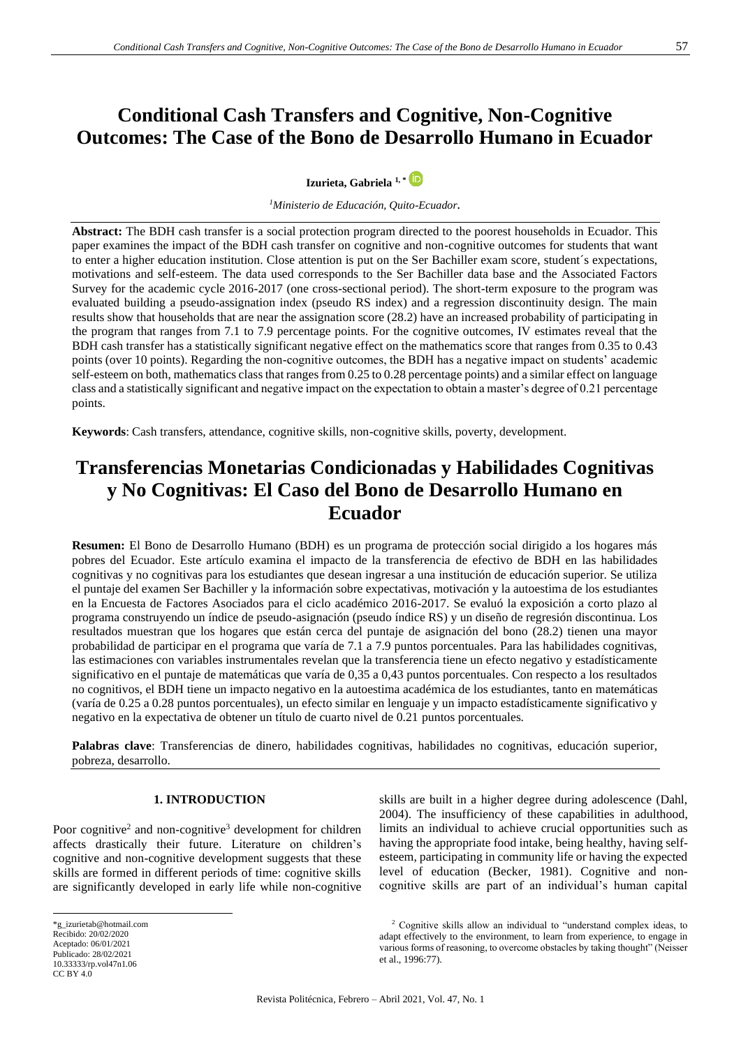**Izurieta, Gabriela 1, \***

*<sup>1</sup>Ministerio de Educación, Quito-Ecuador.*

**Abstract:** The BDH cash transfer is a social protection program directed to the poorest households in Ecuador. This paper examines the impact of the BDH cash transfer on cognitive and non-cognitive outcomes for students that want to enter a higher education institution. Close attention is put on the Ser Bachiller exam score, student´s expectations, motivations and self-esteem. The data used corresponds to the Ser Bachiller data base and the Associated Factors Survey for the academic cycle 2016-2017 (one cross-sectional period). The short-term exposure to the program was evaluated building a pseudo-assignation index (pseudo RS index) and a regression discontinuity design. The main results show that households that are near the assignation score (28.2) have an increased probability of participating in the program that ranges from 7.1 to 7.9 percentage points. For the cognitive outcomes, IV estimates reveal that the BDH cash transfer has a statistically significant negative effect on the mathematics score that ranges from 0.35 to 0.43 points (over 10 points). Regarding the non-cognitive outcomes, the BDH has a negative impact on students' academic self-esteem on both, mathematics class that ranges from 0.25 to 0.28 percentage points) and a similar effect on language class and a statistically significant and negative impact on the expectation to obtain a master's degree of 0.21 percentage points.

**Keywords**: Cash transfers, attendance, cognitive skills, non-cognitive skills, poverty, development.

# **Transferencias Monetarias Condicionadas y Habilidades Cognitivas y No Cognitivas: El Caso del Bono de Desarrollo Humano en Ecuador**

**Resumen:** El Bono de Desarrollo Humano (BDH) es un programa de protección social dirigido a los hogares más pobres del Ecuador. Este artículo examina el impacto de la transferencia de efectivo de BDH en las habilidades cognitivas y no cognitivas para los estudiantes que desean ingresar a una institución de educación superior. Se utiliza el puntaje del examen Ser Bachiller y la información sobre expectativas, motivación y la autoestima de los estudiantes en la Encuesta de Factores Asociados para el ciclo académico 2016-2017. Se evaluó la exposición a corto plazo al programa construyendo un índice de pseudo-asignación (pseudo índice RS) y un diseño de regresión discontinua. Los resultados muestran que los hogares que están cerca del puntaje de asignación del bono (28.2) tienen una mayor probabilidad de participar en el programa que varía de 7.1 a 7.9 puntos porcentuales. Para las habilidades cognitivas, las estimaciones con variables instrumentales revelan que la transferencia tiene un efecto negativo y estadísticamente significativo en el puntaje de matemáticas que varía de 0,35 a 0,43 puntos porcentuales. Con respecto a los resultados no cognitivos, el BDH tiene un impacto negativo en la autoestima académica de los estudiantes, tanto en matemáticas (varía de 0.25 a 0.28 puntos porcentuales), un efecto similar en lenguaje y un impacto estadísticamente significativo y negativo en la expectativa de obtener un título de cuarto nivel de 0.21 puntos porcentuales.

**Palabras clave**: Transferencias de dinero, habilidades cognitivas, habilidades no cognitivas, educación superior, pobreza, desarrollo.

# **<sup>1</sup> 1. INTRODUCTION**

Poor cognitive<sup>2</sup> and non-cognitive<sup>3</sup> development for children affects drastically their future. Literature on children's cognitive and non-cognitive development suggests that these skills are formed in different periods of time: cognitive skills are significantly developed in early life while non-cognitive

\*g\_izurietab@hotmail.com Recibido: 20/02/2020 Aceptado: 06/01/2021 Publicado: 28/02/2021 [10.33333/rp.vol47n1.06](https://doi.org/10.33333/rp.vol47n1.06) [CC BY 4.0](https://creativecommons.org/licenses/by-nc-sa/4.0/)

skills are built in a higher degree during adolescence (Dahl, 2004). The insufficiency of these capabilities in adulthood, limits an individual to achieve crucial opportunities such as having the appropriate food intake, being healthy, having selfesteem, participating in community life or having the expected level of education (Becker, 1981). Cognitive and noncognitive skills are part of an individual's human capital

<sup>2</sup> Cognitive skills allow an individual to "understand complex ideas, to adapt effectively to the environment, to learn from experience, to engage in various forms of reasoning, to overcome obstacles by taking thought" (Neisser et al., 1996:77).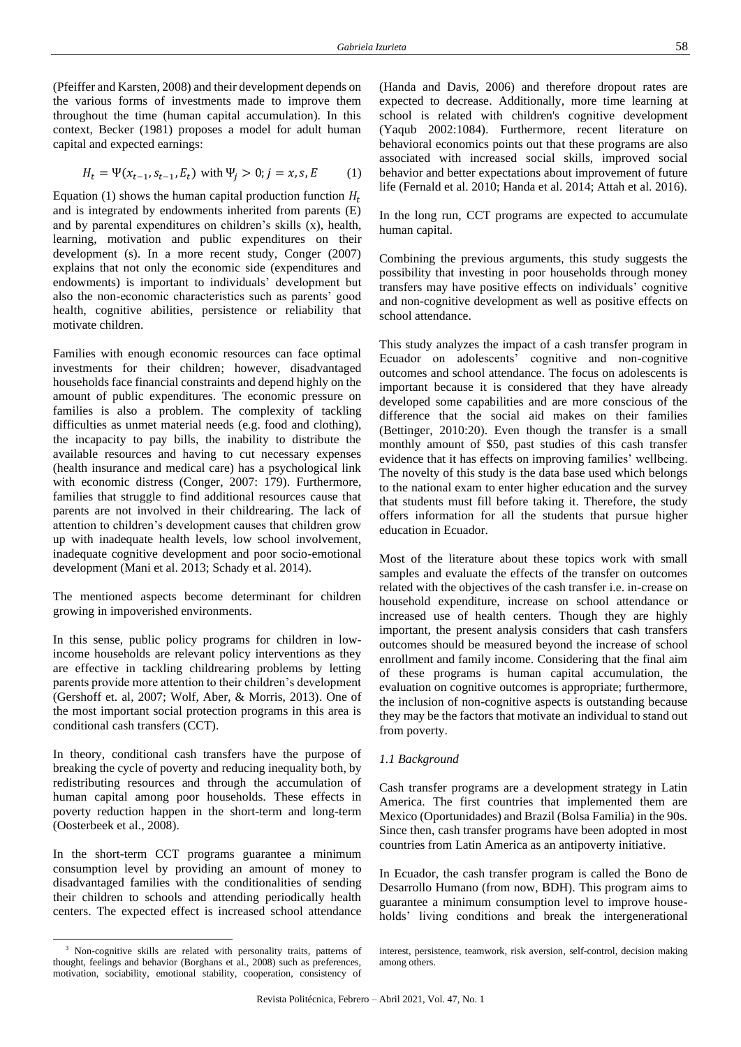(Pfeiffer and Karsten, 2008) and their development depends on the various forms of investments made to improve them throughout the time (human capital accumulation). In this context, Becker (1981) proposes a model for adult human capital and expected earnings:

$$
H_t = \Psi(x_{t-1}, s_{t-1}, E_t) \text{ with } \Psi_j > 0; j = x, s, E \tag{1}
$$

Equation (1) shows the human capital production function  $H_t$ and is integrated by endowments inherited from parents (E) and by parental expenditures on children's skills (x), health, learning, motivation and public expenditures on their development (s). In a more recent study, Conger (2007) explains that not only the economic side (expenditures and endowments) is important to individuals' development but also the non-economic characteristics such as parents' good health, cognitive abilities, persistence or reliability that motivate children.

Families with enough economic resources can face optimal investments for their children; however, disadvantaged households face financial constraints and depend highly on the amount of public expenditures. The economic pressure on families is also a problem. The complexity of tackling difficulties as unmet material needs (e.g. food and clothing), the incapacity to pay bills, the inability to distribute the available resources and having to cut necessary expenses (health insurance and medical care) has a psychological link with economic distress (Conger, 2007: 179). Furthermore, families that struggle to find additional resources cause that parents are not involved in their childrearing. The lack of attention to children's development causes that children grow up with inadequate health levels, low school involvement, inadequate cognitive development and poor socio-emotional development (Mani et al. 2013; Schady et al. 2014).

The mentioned aspects become determinant for children growing in impoverished environments.

In this sense, public policy programs for children in lowincome households are relevant policy interventions as they are effective in tackling childrearing problems by letting parents provide more attention to their children's development (Gershoff et. al, 2007; Wolf, Aber, & Morris, 2013). One of the most important social protection programs in this area is conditional cash transfers (CCT).

In theory, conditional cash transfers have the purpose of breaking the cycle of poverty and reducing inequality both, by redistributing resources and through the accumulation of human capital among poor households. These effects in poverty reduction happen in the short-term and long-term (Oosterbeek et al., 2008).

In the short-term CCT programs guarantee a minimum consumption level by providing an amount of money to disadvantaged families with the conditionalities of sending their children to schools and attending periodically health centers. The expected effect is increased school attendance

(Handa and Davis, 2006) and therefore dropout rates are expected to decrease. Additionally, more time learning at school is related with children's cognitive development (Yaqub 2002:1084). Furthermore, recent literature on behavioral economics points out that these programs are also associated with increased social skills, improved social behavior and better expectations about improvement of future life (Fernald et al. 2010; Handa et al. 2014; Attah et al. 2016).

In the long run, CCT programs are expected to accumulate human capital.

Combining the previous arguments, this study suggests the possibility that investing in poor households through money transfers may have positive effects on individuals' cognitive and non-cognitive development as well as positive effects on school attendance.

This study analyzes the impact of a cash transfer program in Ecuador on adolescents' cognitive and non-cognitive outcomes and school attendance. The focus on adolescents is important because it is considered that they have already developed some capabilities and are more conscious of the difference that the social aid makes on their families (Bettinger, 2010:20). Even though the transfer is a small monthly amount of \$50, past studies of this cash transfer evidence that it has effects on improving families' wellbeing. The novelty of this study is the data base used which belongs to the national exam to enter higher education and the survey that students must fill before taking it. Therefore, the study offers information for all the students that pursue higher education in Ecuador.

Most of the literature about these topics work with small samples and evaluate the effects of the transfer on outcomes related with the objectives of the cash transfer i.e. in-crease on household expenditure, increase on school attendance or increased use of health centers. Though they are highly important, the present analysis considers that cash transfers outcomes should be measured beyond the increase of school enrollment and family income. Considering that the final aim of these programs is human capital accumulation, the evaluation on cognitive outcomes is appropriate; furthermore, the inclusion of non-cognitive aspects is outstanding because they may be the factors that motivate an individual to stand out from poverty.

#### *1.1 Background*

Cash transfer programs are a development strategy in Latin America. The first countries that implemented them are Mexico (Oportunidades) and Brazil (Bolsa Familia) in the 90s. Since then, cash transfer programs have been adopted in most countries from Latin America as an antipoverty initiative.

In Ecuador, the cash transfer program is called the Bono de Desarrollo Humano (from now, BDH). This program aims to guarantee a minimum consumption level to improve households' living conditions and break the intergenerational

<sup>&</sup>lt;sup>3</sup> Non-cognitive skills are related with personality traits, patterns of thought, feelings and behavior (Borghans et al., 2008) such as preferences, motivation, sociability, emotional stability, cooperation, consistency of

interest, persistence, teamwork, risk aversion, self-control, decision making among others.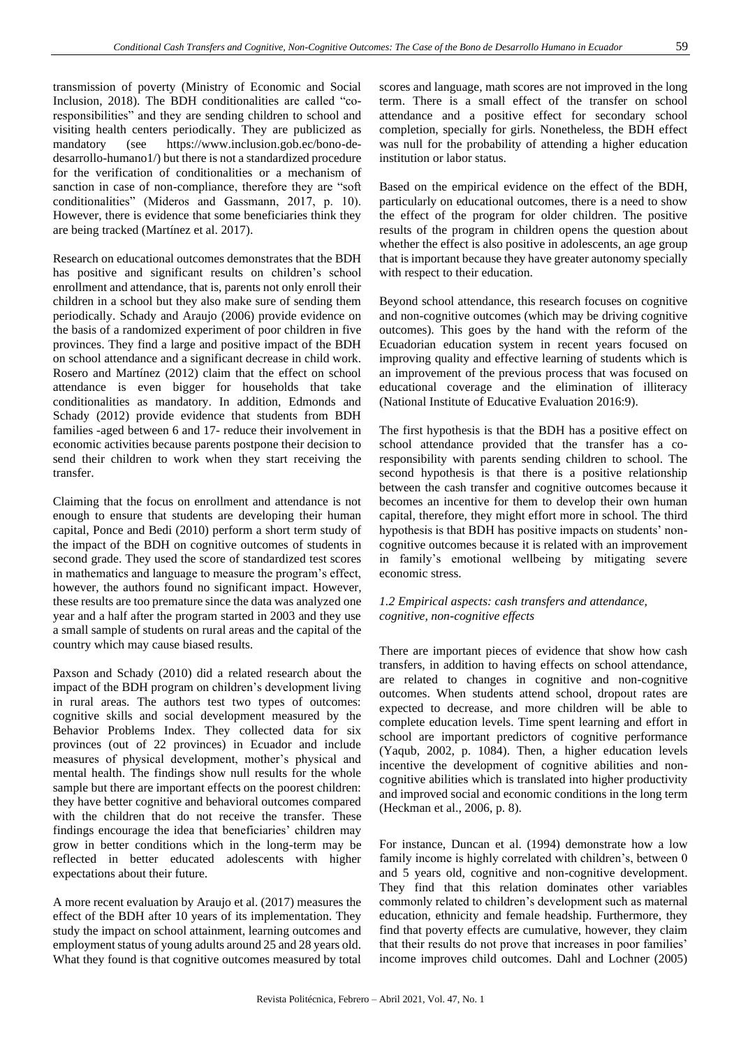transmission of poverty (Ministry of Economic and Social Inclusion, 2018). The BDH conditionalities are called "coresponsibilities" and they are sending children to school and visiting health centers periodically. They are publicized as mandatory (see https://www.inclusion.gob.ec/bono-dedesarrollo-humano1/) but there is not a standardized procedure for the verification of conditionalities or a mechanism of sanction in case of non-compliance, therefore they are "soft conditionalities" (Mideros and Gassmann, 2017, p. 10). However, there is evidence that some beneficiaries think they are being tracked (Martínez et al. 2017).

Research on educational outcomes demonstrates that the BDH has positive and significant results on children's school enrollment and attendance, that is, parents not only enroll their children in a school but they also make sure of sending them periodically. Schady and Araujo (2006) provide evidence on the basis of a randomized experiment of poor children in five provinces. They find a large and positive impact of the BDH on school attendance and a significant decrease in child work. Rosero and Martínez (2012) claim that the effect on school attendance is even bigger for households that take conditionalities as mandatory. In addition, Edmonds and Schady (2012) provide evidence that students from BDH families -aged between 6 and 17- reduce their involvement in economic activities because parents postpone their decision to send their children to work when they start receiving the transfer.

Claiming that the focus on enrollment and attendance is not enough to ensure that students are developing their human capital, Ponce and Bedi (2010) perform a short term study of the impact of the BDH on cognitive outcomes of students in second grade. They used the score of standardized test scores in mathematics and language to measure the program's effect, however, the authors found no significant impact. However, these results are too premature since the data was analyzed one year and a half after the program started in 2003 and they use a small sample of students on rural areas and the capital of the country which may cause biased results.

Paxson and Schady (2010) did a related research about the impact of the BDH program on children's development living in rural areas. The authors test two types of outcomes: cognitive skills and social development measured by the Behavior Problems Index. They collected data for six provinces (out of 22 provinces) in Ecuador and include measures of physical development, mother's physical and mental health. The findings show null results for the whole sample but there are important effects on the poorest children: they have better cognitive and behavioral outcomes compared with the children that do not receive the transfer. These findings encourage the idea that beneficiaries' children may grow in better conditions which in the long-term may be reflected in better educated adolescents with higher expectations about their future.

A more recent evaluation by Araujo et al. (2017) measures the effect of the BDH after 10 years of its implementation. They study the impact on school attainment, learning outcomes and employment status of young adults around 25 and 28 years old. What they found is that cognitive outcomes measured by total scores and language, math scores are not improved in the long term. There is a small effect of the transfer on school attendance and a positive effect for secondary school completion, specially for girls. Nonetheless, the BDH effect was null for the probability of attending a higher education institution or labor status.

Based on the empirical evidence on the effect of the BDH, particularly on educational outcomes, there is a need to show the effect of the program for older children. The positive results of the program in children opens the question about whether the effect is also positive in adolescents, an age group that is important because they have greater autonomy specially with respect to their education.

Beyond school attendance, this research focuses on cognitive and non-cognitive outcomes (which may be driving cognitive outcomes). This goes by the hand with the reform of the Ecuadorian education system in recent years focused on improving quality and effective learning of students which is an improvement of the previous process that was focused on educational coverage and the elimination of illiteracy (National Institute of Educative Evaluation 2016:9).

The first hypothesis is that the BDH has a positive effect on school attendance provided that the transfer has a coresponsibility with parents sending children to school. The second hypothesis is that there is a positive relationship between the cash transfer and cognitive outcomes because it becomes an incentive for them to develop their own human capital, therefore, they might effort more in school. The third hypothesis is that BDH has positive impacts on students' noncognitive outcomes because it is related with an improvement in family's emotional wellbeing by mitigating severe economic stress.

# *1.2 Empirical aspects: cash transfers and attendance, cognitive, non-cognitive effects*

There are important pieces of evidence that show how cash transfers, in addition to having effects on school attendance, are related to changes in cognitive and non-cognitive outcomes. When students attend school, dropout rates are expected to decrease, and more children will be able to complete education levels. Time spent learning and effort in school are important predictors of cognitive performance (Yaqub, 2002, p. 1084). Then, a higher education levels incentive the development of cognitive abilities and noncognitive abilities which is translated into higher productivity and improved social and economic conditions in the long term (Heckman et al., 2006, p. 8).

For instance, Duncan et al. (1994) demonstrate how a low family income is highly correlated with children's, between 0 and 5 years old, cognitive and non-cognitive development. They find that this relation dominates other variables commonly related to children's development such as maternal education, ethnicity and female headship. Furthermore, they find that poverty effects are cumulative, however, they claim that their results do not prove that increases in poor families' income improves child outcomes. Dahl and Lochner (2005)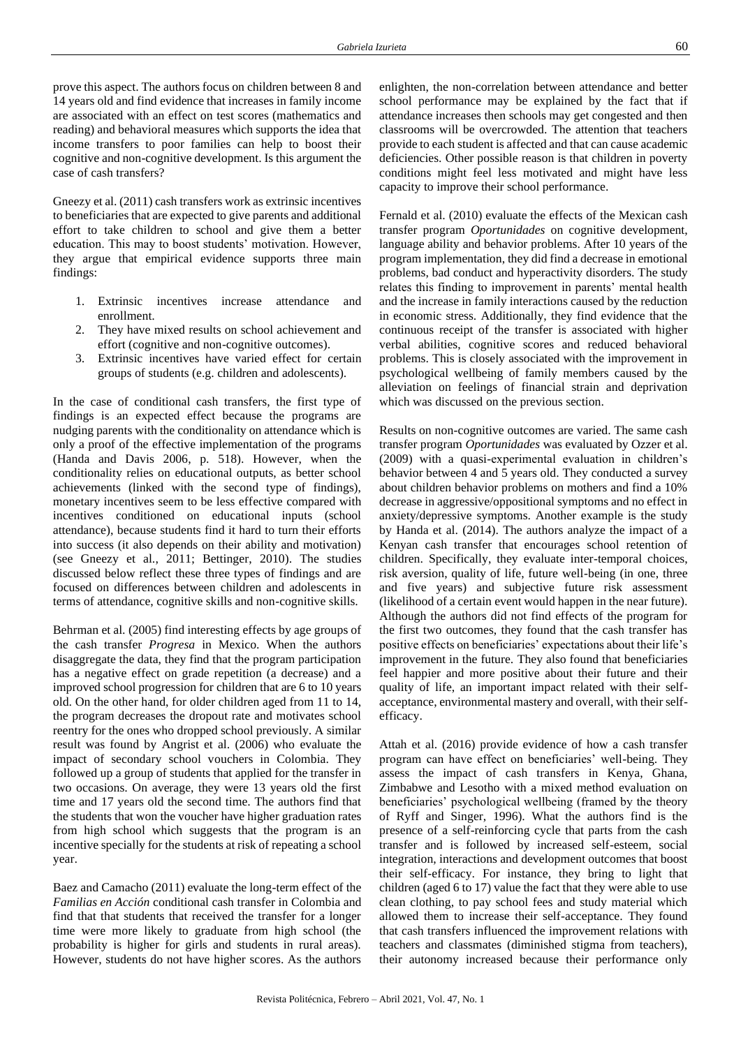prove this aspect. The authors focus on children between 8 and 14 years old and find evidence that increases in family income are associated with an effect on test scores (mathematics and reading) and behavioral measures which supports the idea that income transfers to poor families can help to boost their cognitive and non-cognitive development. Is this argument the case of cash transfers?

Gneezy et al. (2011) cash transfers work as extrinsic incentives to beneficiaries that are expected to give parents and additional effort to take children to school and give them a better education. This may to boost students' motivation. However, they argue that empirical evidence supports three main findings:

- 1. Extrinsic incentives increase attendance and enrollment.
- 2. They have mixed results on school achievement and effort (cognitive and non-cognitive outcomes).
- 3. Extrinsic incentives have varied effect for certain groups of students (e.g. children and adolescents).

In the case of conditional cash transfers, the first type of findings is an expected effect because the programs are nudging parents with the conditionality on attendance which is only a proof of the effective implementation of the programs (Handa and Davis 2006, p. 518). However, when the conditionality relies on educational outputs, as better school achievements (linked with the second type of findings), monetary incentives seem to be less effective compared with incentives conditioned on educational inputs (school attendance), because students find it hard to turn their efforts into success (it also depends on their ability and motivation) (see Gneezy et al., 2011; Bettinger, 2010). The studies discussed below reflect these three types of findings and are focused on differences between children and adolescents in terms of attendance, cognitive skills and non-cognitive skills.

Behrman et al. (2005) find interesting effects by age groups of the cash transfer *Progresa* in Mexico. When the authors disaggregate the data, they find that the program participation has a negative effect on grade repetition (a decrease) and a improved school progression for children that are 6 to 10 years old. On the other hand, for older children aged from 11 to 14, the program decreases the dropout rate and motivates school reentry for the ones who dropped school previously. A similar result was found by Angrist et al. (2006) who evaluate the impact of secondary school vouchers in Colombia. They followed up a group of students that applied for the transfer in two occasions. On average, they were 13 years old the first time and 17 years old the second time. The authors find that the students that won the voucher have higher graduation rates from high school which suggests that the program is an incentive specially for the students at risk of repeating a school year.

Baez and Camacho (2011) evaluate the long-term effect of the *Familias en Acción* conditional cash transfer in Colombia and find that that students that received the transfer for a longer time were more likely to graduate from high school (the probability is higher for girls and students in rural areas). However, students do not have higher scores. As the authors enlighten, the non-correlation between attendance and better school performance may be explained by the fact that if attendance increases then schools may get congested and then classrooms will be overcrowded. The attention that teachers provide to each student is affected and that can cause academic deficiencies. Other possible reason is that children in poverty conditions might feel less motivated and might have less capacity to improve their school performance.

Fernald et al. (2010) evaluate the effects of the Mexican cash transfer program *Oportunidades* on cognitive development, language ability and behavior problems. After 10 years of the program implementation, they did find a decrease in emotional problems, bad conduct and hyperactivity disorders. The study relates this finding to improvement in parents' mental health and the increase in family interactions caused by the reduction in economic stress. Additionally, they find evidence that the continuous receipt of the transfer is associated with higher verbal abilities, cognitive scores and reduced behavioral problems. This is closely associated with the improvement in psychological wellbeing of family members caused by the alleviation on feelings of financial strain and deprivation which was discussed on the previous section.

Results on non-cognitive outcomes are varied. The same cash transfer program *Oportunidades* was evaluated by Ozzer et al. (2009) with a quasi-experimental evaluation in children's behavior between 4 and 5 years old. They conducted a survey about children behavior problems on mothers and find a 10% decrease in aggressive/oppositional symptoms and no effect in anxiety/depressive symptoms. Another example is the study by Handa et al. (2014). The authors analyze the impact of a Kenyan cash transfer that encourages school retention of children. Specifically, they evaluate inter-temporal choices, risk aversion, quality of life, future well-being (in one, three and five years) and subjective future risk assessment (likelihood of a certain event would happen in the near future). Although the authors did not find effects of the program for the first two outcomes, they found that the cash transfer has positive effects on beneficiaries' expectations about their life's improvement in the future. They also found that beneficiaries feel happier and more positive about their future and their quality of life, an important impact related with their selfacceptance, environmental mastery and overall, with their selfefficacy.

Attah et al. (2016) provide evidence of how a cash transfer program can have effect on beneficiaries' well-being. They assess the impact of cash transfers in Kenya, Ghana, Zimbabwe and Lesotho with a mixed method evaluation on beneficiaries' psychological wellbeing (framed by the theory of Ryff and Singer, 1996). What the authors find is the presence of a self-reinforcing cycle that parts from the cash transfer and is followed by increased self-esteem, social integration, interactions and development outcomes that boost their self-efficacy. For instance, they bring to light that children (aged 6 to 17) value the fact that they were able to use clean clothing, to pay school fees and study material which allowed them to increase their self-acceptance. They found that cash transfers influenced the improvement relations with teachers and classmates (diminished stigma from teachers), their autonomy increased because their performance only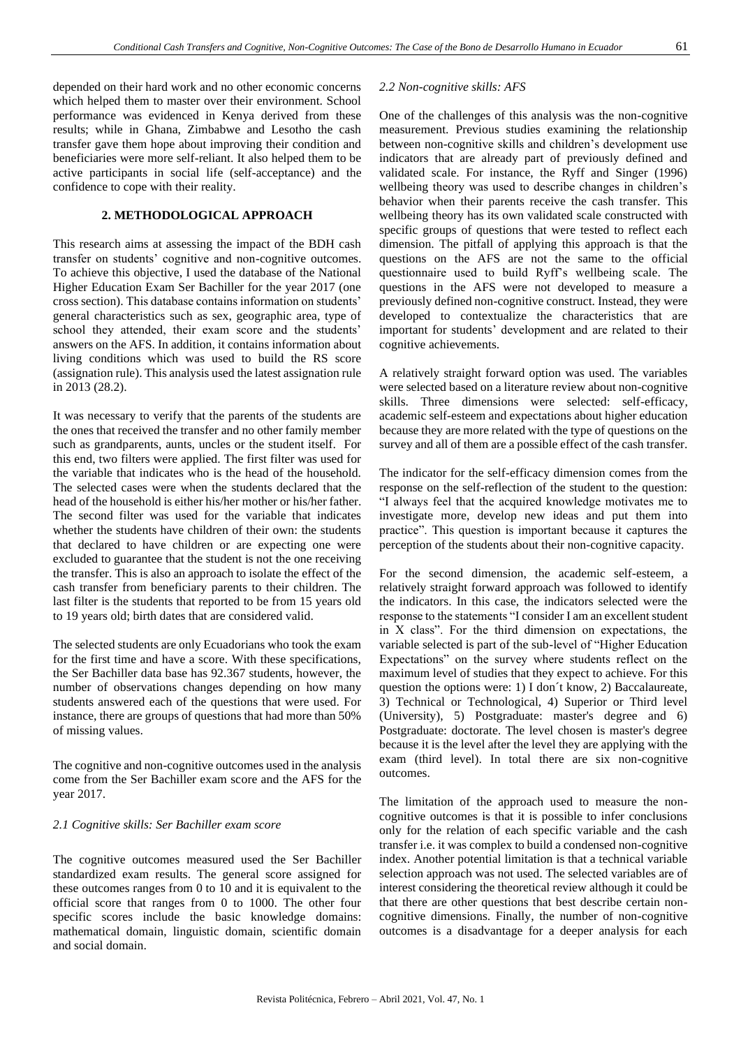depended on their hard work and no other economic concerns which helped them to master over their environment. School performance was evidenced in Kenya derived from these results; while in Ghana, Zimbabwe and Lesotho the cash transfer gave them hope about improving their condition and beneficiaries were more self-reliant. It also helped them to be active participants in social life (self-acceptance) and the confidence to cope with their reality.

### **2. METHODOLOGICAL APPROACH**

This research aims at assessing the impact of the BDH cash transfer on students' cognitive and non-cognitive outcomes. To achieve this objective, I used the database of the National Higher Education Exam Ser Bachiller for the year 2017 (one cross section). This database contains information on students' general characteristics such as sex, geographic area, type of school they attended, their exam score and the students' answers on the AFS. In addition, it contains information about living conditions which was used to build the RS score (assignation rule). This analysis used the latest assignation rule in 2013 (28.2).

It was necessary to verify that the parents of the students are the ones that received the transfer and no other family member such as grandparents, aunts, uncles or the student itself. For this end, two filters were applied. The first filter was used for the variable that indicates who is the head of the household. The selected cases were when the students declared that the head of the household is either his/her mother or his/her father. The second filter was used for the variable that indicates whether the students have children of their own: the students that declared to have children or are expecting one were excluded to guarantee that the student is not the one receiving the transfer. This is also an approach to isolate the effect of the cash transfer from beneficiary parents to their children. The last filter is the students that reported to be from 15 years old to 19 years old; birth dates that are considered valid.

The selected students are only Ecuadorians who took the exam for the first time and have a score. With these specifications, the Ser Bachiller data base has 92.367 students, however, the number of observations changes depending on how many students answered each of the questions that were used. For instance, there are groups of questions that had more than 50% of missing values.

The cognitive and non-cognitive outcomes used in the analysis come from the Ser Bachiller exam score and the AFS for the year 2017.

#### *2.1 Cognitive skills: Ser Bachiller exam score*

The cognitive outcomes measured used the Ser Bachiller standardized exam results. The general score assigned for these outcomes ranges from 0 to 10 and it is equivalent to the official score that ranges from 0 to 1000. The other four specific scores include the basic knowledge domains: mathematical domain, linguistic domain, scientific domain and social domain.

#### *2.2 Non-cognitive skills: AFS*

One of the challenges of this analysis was the non-cognitive measurement. Previous studies examining the relationship between non-cognitive skills and children's development use indicators that are already part of previously defined and validated scale. For instance, the Ryff and Singer (1996) wellbeing theory was used to describe changes in children's behavior when their parents receive the cash transfer. This wellbeing theory has its own validated scale constructed with specific groups of questions that were tested to reflect each dimension. The pitfall of applying this approach is that the questions on the AFS are not the same to the official questionnaire used to build Ryff's wellbeing scale. The questions in the AFS were not developed to measure a previously defined non-cognitive construct. Instead, they were developed to contextualize the characteristics that are important for students' development and are related to their cognitive achievements.

A relatively straight forward option was used. The variables were selected based on a literature review about non-cognitive skills. Three dimensions were selected: self-efficacy, academic self-esteem and expectations about higher education because they are more related with the type of questions on the survey and all of them are a possible effect of the cash transfer.

The indicator for the self-efficacy dimension comes from the response on the self-reflection of the student to the question: "I always feel that the acquired knowledge motivates me to investigate more, develop new ideas and put them into practice". This question is important because it captures the perception of the students about their non-cognitive capacity.

For the second dimension, the academic self-esteem, a relatively straight forward approach was followed to identify the indicators. In this case, the indicators selected were the response to the statements "I consider I am an excellent student in X class". For the third dimension on expectations, the variable selected is part of the sub-level of "Higher Education Expectations" on the survey where students reflect on the maximum level of studies that they expect to achieve. For this question the options were: 1) I don´t know, 2) Baccalaureate, 3) Technical or Technological, 4) Superior or Third level (University), 5) Postgraduate: master's degree and 6) Postgraduate: doctorate. The level chosen is master's degree because it is the level after the level they are applying with the exam (third level). In total there are six non-cognitive outcomes.

The limitation of the approach used to measure the noncognitive outcomes is that it is possible to infer conclusions only for the relation of each specific variable and the cash transfer i.e. it was complex to build a condensed non-cognitive index. Another potential limitation is that a technical variable selection approach was not used. The selected variables are of interest considering the theoretical review although it could be that there are other questions that best describe certain noncognitive dimensions. Finally, the number of non-cognitive outcomes is a disadvantage for a deeper analysis for each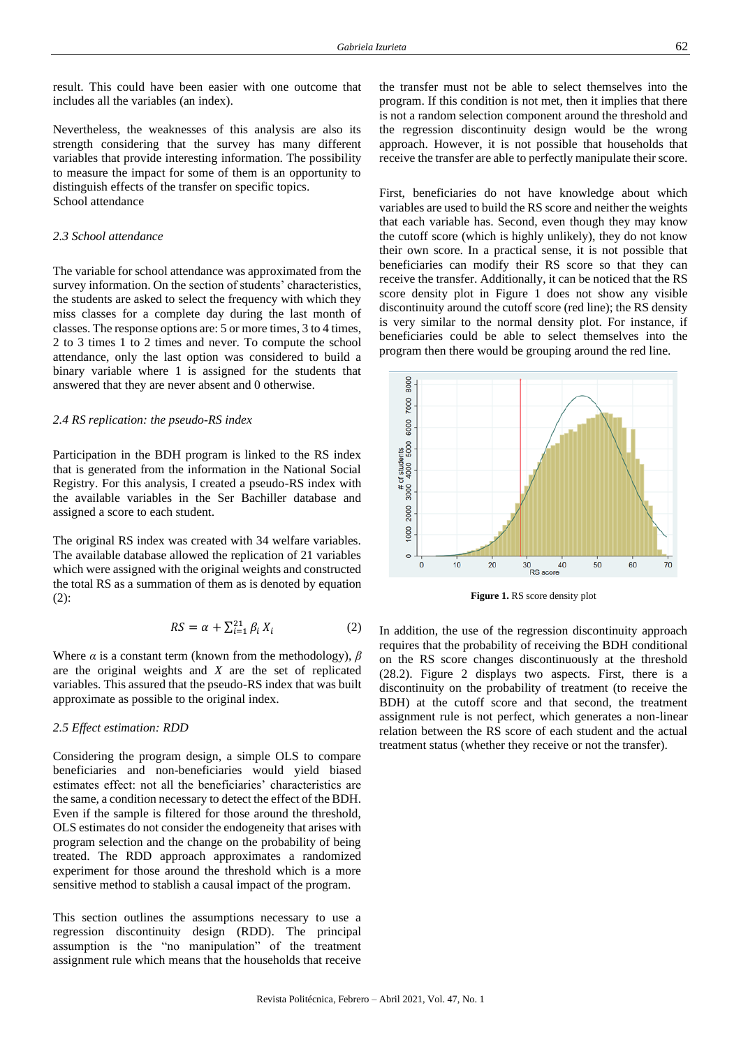Nevertheless, the weaknesses of this analysis are also its strength considering that the survey has many different variables that provide interesting information. The possibility to measure the impact for some of them is an opportunity to distinguish effects of the transfer on specific topics. School attendance

## *2.3 School attendance*

The variable for school attendance was approximated from the survey information. On the section of students' characteristics, the students are asked to select the frequency with which they miss classes for a complete day during the last month of classes. The response options are: 5 or more times, 3 to 4 times, 2 to 3 times 1 to 2 times and never. To compute the school attendance, only the last option was considered to build a binary variable where 1 is assigned for the students that answered that they are never absent and 0 otherwise.

#### *2.4 RS replication: the pseudo-RS index*

Participation in the BDH program is linked to the RS index that is generated from the information in the National Social Registry. For this analysis, I created a pseudo-RS index with the available variables in the Ser Bachiller database and assigned a score to each student.

The original RS index was created with 34 welfare variables. The available database allowed the replication of 21 variables which were assigned with the original weights and constructed the total RS as a summation of them as is denoted by equation (2):

$$
RS = \alpha + \sum_{i=1}^{21} \beta_i X_i \tag{2}
$$

Where *α* is a constant term (known from the methodology), *β* are the original weights and *X* are the set of replicated variables. This assured that the pseudo-RS index that was built approximate as possible to the original index.

#### *2.5 Effect estimation: RDD*

Considering the program design, a simple OLS to compare beneficiaries and non-beneficiaries would yield biased estimates effect: not all the beneficiaries' characteristics are the same, a condition necessary to detect the effect of the BDH. Even if the sample is filtered for those around the threshold, OLS estimates do not consider the endogeneity that arises with program selection and the change on the probability of being treated. The RDD approach approximates a randomized experiment for those around the threshold which is a more sensitive method to stablish a causal impact of the program.

This section outlines the assumptions necessary to use a regression discontinuity design (RDD). The principal assumption is the "no manipulation" of the treatment assignment rule which means that the households that receive

the transfer must not be able to select themselves into the program. If this condition is not met, then it implies that there is not a random selection component around the threshold and the regression discontinuity design would be the wrong approach. However, it is not possible that households that receive the transfer are able to perfectly manipulate their score.

First, beneficiaries do not have knowledge about which variables are used to build the RS score and neither the weights that each variable has. Second, even though they may know the cutoff score (which is highly unlikely), they do not know their own score. In a practical sense, it is not possible that beneficiaries can modify their RS score so that they can receive the transfer. Additionally, it can be noticed that the RS score density plot in Figure 1 does not show any visible discontinuity around the cutoff score (red line); the RS density is very similar to the normal density plot. For instance, if beneficiaries could be able to select themselves into the program then there would be grouping around the red line.



**Figure 1.** RS score density plot

In addition, the use of the regression discontinuity approach requires that the probability of receiving the BDH conditional on the RS score changes discontinuously at the threshold (28.2). Figure 2 displays two aspects. First, there is a discontinuity on the probability of treatment (to receive the BDH) at the cutoff score and that second, the treatment assignment rule is not perfect, which generates a non-linear relation between the RS score of each student and the actual treatment status (whether they receive or not the transfer).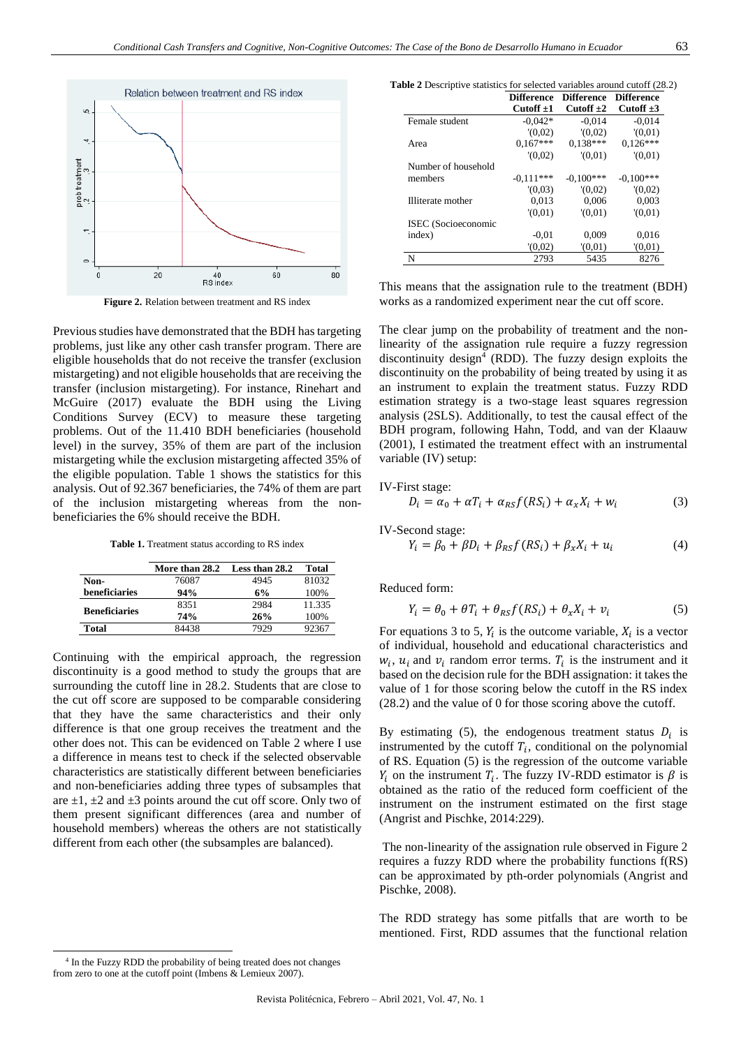

**Figure 2.** Relation between treatment and RS index

Previous studies have demonstrated that the BDH has targeting problems, just like any other cash transfer program. There are eligible households that do not receive the transfer (exclusion mistargeting) and not eligible households that are receiving the transfer (inclusion mistargeting). For instance, Rinehart and McGuire (2017) evaluate the BDH using the Living Conditions Survey (ECV) to measure these targeting problems. Out of the 11.410 BDH beneficiaries (household level) in the survey, 35% of them are part of the inclusion mistargeting while the exclusion mistargeting affected 35% of the eligible population. Table 1 shows the statistics for this analysis. Out of 92.367 beneficiaries, the 74% of them are part of the inclusion mistargeting whereas from the nonbeneficiaries the 6% should receive the BDH.

**Table 1.** Treatment status according to RS index

|                      | More than 28.2 | Less than 28.2 | Total  |
|----------------------|----------------|----------------|--------|
| Non-                 | 76087          | 4945           | 81032  |
| beneficiaries        | 94%            | 6%             | 100%   |
| <b>Beneficiaries</b> | 8351           | 2984           | 11.335 |
|                      | 74%            | 26%            | 100%   |
| Total                | 84438          | 7929           | 92367  |

Continuing with the empirical approach, the regression discontinuity is a good method to study the groups that are surrounding the cutoff line in 28.2. Students that are close to the cut off score are supposed to be comparable considering that they have the same characteristics and their only difference is that one group receives the treatment and the other does not. This can be evidenced on Table 2 where I use a difference in means test to check if the selected observable characteristics are statistically different between beneficiaries and non-beneficiaries adding three types of subsamples that are  $\pm 1$ ,  $\pm 2$  and  $\pm 3$  points around the cut off score. Only two of them present significant differences (area and number of household members) whereas the others are not statistically different from each other (the subsamples are balanced).

**Table 2** Descriptive statistics for selected variables around cutoff (28.2)

|                     | <b>Difference</b> | <b>Difference</b> | <b>Difference</b> |
|---------------------|-------------------|-------------------|-------------------|
|                     | Cutoff $\pm 1$    | Cutoff $\pm 2$    | Cutoff $\pm 3$    |
| Female student      | $-0.042*$         | $-0.014$          | $-0.014$          |
|                     | (0.02)            | (0.02)            | (0.01)            |
| Area                | $0.167***$        | $0.138***$        | $0.126***$        |
|                     | (0.02)            | (0.01)            | (0.01)            |
| Number of household |                   |                   |                   |
| members             | $-0.111***$       | $-0.100***$       | $-0,100***$       |
|                     | (0.03)            | (0.02)            | (0.02)            |
| Illiterate mother   | 0,013             | 0,006             | 0,003             |
|                     | (0.01)            | (0.01)            | (0.01)            |
| ISEC (Socioeconomic |                   |                   |                   |
| index)              | $-0.01$           | 0.009             | 0.016             |
|                     | (0,02)            | (0.01)            | (0.01)            |
| N                   | 2793              | 5435              | 8276              |

This means that the assignation rule to the treatment (BDH) works as a randomized experiment near the cut off score.

The clear jump on the probability of treatment and the nonlinearity of the assignation rule require a fuzzy regression discontinuity design<sup>4</sup> (RDD). The fuzzy design exploits the discontinuity on the probability of being treated by using it as an instrument to explain the treatment status. Fuzzy RDD estimation strategy is a two-stage least squares regression analysis (2SLS). Additionally, to test the causal effect of the BDH program, following Hahn, Todd, and van der Klaauw (2001), I estimated the treatment effect with an instrumental variable (IV) setup:

IV-First stage:  
\n
$$
D_i = \alpha_0 + \alpha T_i + \alpha_{RS} f(RS_i) + \alpha_x X_i + w_i
$$
\n(3)

IV-Second stage:  
\n
$$
Y_i = \beta_0 + \beta D_i + \beta_{RS} f(RS_i) + \beta_x X_i + u_i
$$
\n(4)

Reduced form:

$$
Y_i = \theta_0 + \theta T_i + \theta_{RS} f(RS_i) + \theta_x X_i + \nu_i \tag{5}
$$

For equations 3 to 5,  $Y_i$  is the outcome variable,  $X_i$  is a vector of individual, household and educational characteristics and  $w_i$ ,  $u_i$  and  $v_i$  random error terms.  $T_i$  is the instrument and it based on the decision rule for the BDH assignation: it takes the value of 1 for those scoring below the cutoff in the RS index (28.2) and the value of 0 for those scoring above the cutoff.

By estimating (5), the endogenous treatment status  $D_i$  is instrumented by the cutoff  $T_i$ , conditional on the polynomial of RS. Equation (5) is the regression of the outcome variable  $Y_i$  on the instrument  $T_i$ . The fuzzy IV-RDD estimator is  $\beta$  is obtained as the ratio of the reduced form coefficient of the instrument on the instrument estimated on the first stage (Angrist and Pischke, 2014:229).

The non-linearity of the assignation rule observed in Figure 2 requires a fuzzy RDD where the probability functions f(RS) can be approximated by pth-order polynomials (Angrist and Pischke, 2008).

The RDD strategy has some pitfalls that are worth to be mentioned. First, RDD assumes that the functional relation

<sup>&</sup>lt;sup>4</sup> In the Fuzzy RDD the probability of being treated does not changes from zero to one at the cutoff point (Imbens & Lemieux 2007).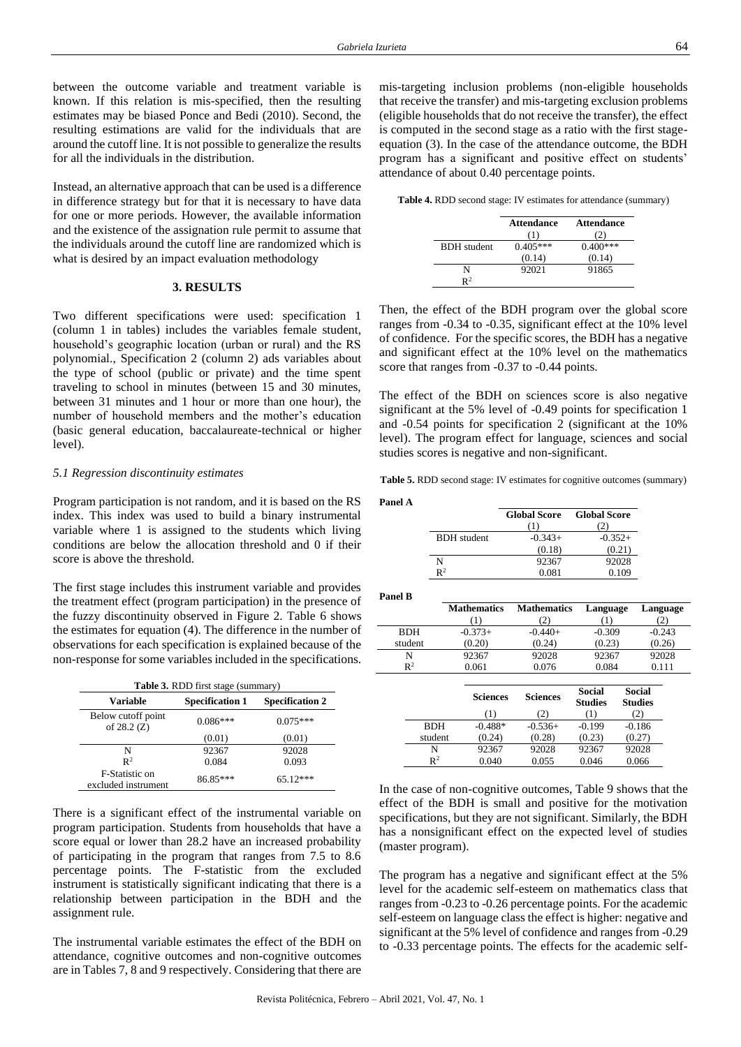between the outcome variable and treatment variable is known. If this relation is mis-specified, then the resulting estimates may be biased Ponce and Bedi (2010). Second, the resulting estimations are valid for the individuals that are around the cutoff line. It is not possible to generalize the results for all the individuals in the distribution.

Instead, an alternative approach that can be used is a difference in difference strategy but for that it is necessary to have data for one or more periods. However, the available information and the existence of the assignation rule permit to assume that the individuals around the cutoff line are randomized which is what is desired by an impact evaluation methodology

#### **3. RESULTS**

Two different specifications were used: specification 1 (column 1 in tables) includes the variables female student, household's geographic location (urban or rural) and the RS polynomial., Specification 2 (column 2) ads variables about the type of school (public or private) and the time spent traveling to school in minutes (between 15 and 30 minutes, between 31 minutes and 1 hour or more than one hour), the number of household members and the mother's education (basic general education, baccalaureate-technical or higher level).

#### *5.1 Regression discontinuity estimates*

Program participation is not random, and it is based on the RS index. This index was used to build a binary instrumental variable where 1 is assigned to the students which living conditions are below the allocation threshold and 0 if their score is above the threshold.

The first stage includes this instrument variable and provides the treatment effect (program participation) in the presence of the fuzzy discontinuity observed in Figure 2. Table 6 shows the estimates for equation (4). The difference in the number of observations for each specification is explained because of the non-response for some variables included in the specifications.

| <b>Table 3.</b> RDD first stage (summary)                    |            |            |  |  |  |
|--------------------------------------------------------------|------------|------------|--|--|--|
| <b>Specification 2</b><br><b>Specification 1</b><br>Variable |            |            |  |  |  |
| Below cutoff point<br>of $28.2 (Z)$                          | $0.086***$ | $0.075***$ |  |  |  |
|                                                              | (0.01)     | (0.01)     |  |  |  |
| N                                                            | 92367      | 92028      |  |  |  |
| $\mathbb{R}^2$                                               | 0.084      | 0.093      |  |  |  |
| F-Statistic on<br>excluded instrument                        | 86.85***   | $65.12***$ |  |  |  |

There is a significant effect of the instrumental variable on program participation. Students from households that have a score equal or lower than 28.2 have an increased probability of participating in the program that ranges from 7.5 to 8.6 percentage points. The F-statistic from the excluded instrument is statistically significant indicating that there is a relationship between participation in the BDH and the assignment rule.

The instrumental variable estimates the effect of the BDH on attendance, cognitive outcomes and non-cognitive outcomes are in Tables 7, 8 and 9 respectively. Considering that there are mis-targeting inclusion problems (non-eligible households that receive the transfer) and mis-targeting exclusion problems (eligible households that do not receive the transfer), the effect is computed in the second stage as a ratio with the first stageequation (3). In the case of the attendance outcome, the BDH program has a significant and positive effect on students' attendance of about 0.40 percentage points.

**Table 4.** RDD second stage: IV estimates for attendance (summary)

|                    | <b>Attendance</b> | <b>Attendance</b> |
|--------------------|-------------------|-------------------|
| <b>BDH</b> student | $0.405***$        | $0.400***$        |
|                    | (0.14)            | (0.14)            |
|                    | 92021             | 91865             |
| $\mathbf{p}^2$     |                   |                   |

Then, the effect of the BDH program over the global score ranges from -0.34 to -0.35, significant effect at the 10% level of confidence. For the specific scores, the BDH has a negative and significant effect at the 10% level on the mathematics score that ranges from -0.37 to -0.44 points.

The effect of the BDH on sciences score is also negative significant at the 5% level of -0.49 points for specification 1 and -0.54 points for specification 2 (significant at the 10% level). The program effect for language, sciences and social studies scores is negative and non-significant.

**Table 5.** RDD second stage: IV estimates for cognitive outcomes (summary)

|                    | <b>Global Score</b> | <b>Global Score</b> |
|--------------------|---------------------|---------------------|
|                    |                     |                     |
| <b>BDH</b> student | $-0.343+$           | $-0.352+$           |
|                    | (0.18)              | (0.21)              |
| N                  | 92367               | 92028               |
| $\mathbb{R}^2$     | 0.081               | 0.109               |

**Panel B**

**Panel A**

|                | <b>Mathematics</b> | <b>Mathematics</b> | Language | Language |
|----------------|--------------------|--------------------|----------|----------|
|                |                    | 21                 |          |          |
| <b>BDH</b>     | $-0.373+$          | $-0.440+$          | $-0.309$ | $-0.243$ |
| student        | (0.20)             | (0.24)             | (0.23)   | (0.26)   |
|                | 92367              | 92028              | 92367    | 92028    |
| $\mathbb{R}^2$ | 0.061              | 0.076              | 0.084    | በ 111    |

|                | <b>Sciences</b><br>7D) | <b>Sciences</b><br>2) | Social<br><b>Studies</b> | Social<br><b>Studies</b><br>2 |
|----------------|------------------------|-----------------------|--------------------------|-------------------------------|
| <b>BDH</b>     | $-0.488*$              | $-0.536+$             | $-0.199$                 | $-0.186$                      |
| student        | (0.24)                 | (0.28)                | (0.23)                   | (0.27)                        |
| N              | 92367                  | 92028                 | 92367                    | 92028                         |
| $\mathbb{R}^2$ | 0.040                  | 0.055                 | 0.046                    | 0.066                         |

In the case of non-cognitive outcomes, Table 9 shows that the effect of the BDH is small and positive for the motivation specifications, but they are not significant. Similarly, the BDH has a nonsignificant effect on the expected level of studies (master program).

The program has a negative and significant effect at the 5% level for the academic self-esteem on mathematics class that ranges from -0.23 to -0.26 percentage points. For the academic self-esteem on language class the effect is higher: negative and significant at the 5% level of confidence and ranges from -0.29 to -0.33 percentage points. The effects for the academic self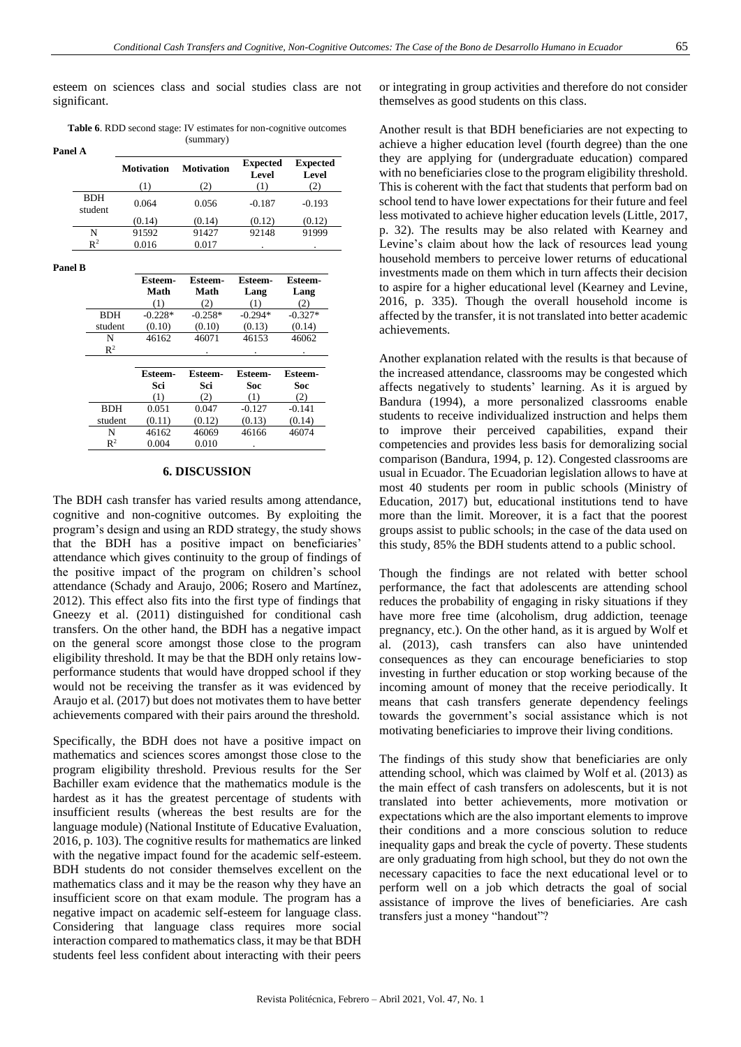esteem on sciences class and social studies class are not significant.

**Table 6**. RDD second stage: IV estimates for non-cognitive outcomes (summary) **P**<sub>2</sub>

| aneı A                |                   |                   |                          |                          |
|-----------------------|-------------------|-------------------|--------------------------|--------------------------|
|                       | <b>Motivation</b> | <b>Motivation</b> | <b>Expected</b><br>Level | <b>Expected</b><br>Level |
|                       | (1)               | (2)               | (1)                      |                          |
| <b>BDH</b><br>student | 0.064             | 0.056             | $-0.187$                 | $-0.193$                 |
|                       | (0.14)            | (0.14)            | (0.12)                   | (0.12)                   |
| N                     | 91592             | 91427             | 92148                    | 91999                    |
| $\mathsf{R}^2$        | 0.016             | 0.017             |                          |                          |

**Panel B**

|                | Esteem-<br>Math<br>(1) | Esteem-<br>Math<br>-2, | Esteem-<br>Lang<br>€D. | Esteem-<br>Lang |
|----------------|------------------------|------------------------|------------------------|-----------------|
| <b>BDH</b>     | $-0.228*$              | $-0.258*$              | $-0.294*$              | $-0.327*$       |
| student        | (0.10)                 | (0.10)                 | (0.13)                 | (0.14)          |
| N              | 46162                  | 46071                  | 46153                  | 46062           |
| $\mathbf{R}^2$ |                        |                        |                        | ٠               |

|            | Esteem-<br>Sci<br>(1) | <b>Esteem-</b><br>Sci<br>(2) | Esteem-<br>Soc<br>(1) | Esteem-<br>Soc<br>(2) |
|------------|-----------------------|------------------------------|-----------------------|-----------------------|
| <b>BDH</b> | 0.051                 | 0.047                        | $-0.127$              | $-0.141$              |
| student    | (0.11)                | (0.12)                       | (0.13)                | (0.14)                |
| N          | 46162                 | 46069                        | 46166                 | 46074                 |
| $R^2$      | 0.004                 | 0.010                        | ٠                     |                       |

## **6. DISCUSSION**

The BDH cash transfer has varied results among attendance, cognitive and non-cognitive outcomes. By exploiting the program's design and using an RDD strategy, the study shows that the BDH has a positive impact on beneficiaries' attendance which gives continuity to the group of findings of the positive impact of the program on children's school attendance (Schady and Araujo, 2006; Rosero and Martínez, 2012). This effect also fits into the first type of findings that Gneezy et al. (2011) distinguished for conditional cash transfers. On the other hand, the BDH has a negative impact on the general score amongst those close to the program eligibility threshold. It may be that the BDH only retains lowperformance students that would have dropped school if they would not be receiving the transfer as it was evidenced by Araujo et al. (2017) but does not motivates them to have better achievements compared with their pairs around the threshold.

Specifically, the BDH does not have a positive impact on mathematics and sciences scores amongst those close to the program eligibility threshold. Previous results for the Ser Bachiller exam evidence that the mathematics module is the hardest as it has the greatest percentage of students with insufficient results (whereas the best results are for the language module) (National Institute of Educative Evaluation, 2016, p. 103). The cognitive results for mathematics are linked with the negative impact found for the academic self-esteem. BDH students do not consider themselves excellent on the mathematics class and it may be the reason why they have an insufficient score on that exam module. The program has a negative impact on academic self-esteem for language class. Considering that language class requires more social interaction compared to mathematics class, it may be that BDH students feel less confident about interacting with their peers or integrating in group activities and therefore do not consider themselves as good students on this class.

Another result is that BDH beneficiaries are not expecting to achieve a higher education level (fourth degree) than the one they are applying for (undergraduate education) compared with no beneficiaries close to the program eligibility threshold. This is coherent with the fact that students that perform bad on school tend to have lower expectations for their future and feel less motivated to achieve higher education levels (Little, 2017, p. 32). The results may be also related with Kearney and Levine's claim about how the lack of resources lead young household members to perceive lower returns of educational investments made on them which in turn affects their decision to aspire for a higher educational level (Kearney and Levine, 2016, p. 335). Though the overall household income is affected by the transfer, it is not translated into better academic achievements.

Another explanation related with the results is that because of the increased attendance, classrooms may be congested which affects negatively to students' learning. As it is argued by Bandura (1994), a more personalized classrooms enable students to receive individualized instruction and helps them to improve their perceived capabilities, expand their competencies and provides less basis for demoralizing social comparison (Bandura, 1994, p. 12). Congested classrooms are usual in Ecuador. The Ecuadorian legislation allows to have at most 40 students per room in public schools (Ministry of Education, 2017) but, educational institutions tend to have more than the limit. Moreover, it is a fact that the poorest groups assist to public schools; in the case of the data used on this study, 85% the BDH students attend to a public school.

Though the findings are not related with better school performance, the fact that adolescents are attending school reduces the probability of engaging in risky situations if they have more free time (alcoholism, drug addiction, teenage pregnancy, etc.). On the other hand, as it is argued by Wolf et al. (2013), cash transfers can also have unintended consequences as they can encourage beneficiaries to stop investing in further education or stop working because of the incoming amount of money that the receive periodically. It means that cash transfers generate dependency feelings towards the government's social assistance which is not motivating beneficiaries to improve their living conditions.

The findings of this study show that beneficiaries are only attending school, which was claimed by Wolf et al. (2013) as the main effect of cash transfers on adolescents, but it is not translated into better achievements, more motivation or expectations which are the also important elements to improve their conditions and a more conscious solution to reduce inequality gaps and break the cycle of poverty. These students are only graduating from high school, but they do not own the necessary capacities to face the next educational level or to perform well on a job which detracts the goal of social assistance of improve the lives of beneficiaries. Are cash transfers just a money "handout"?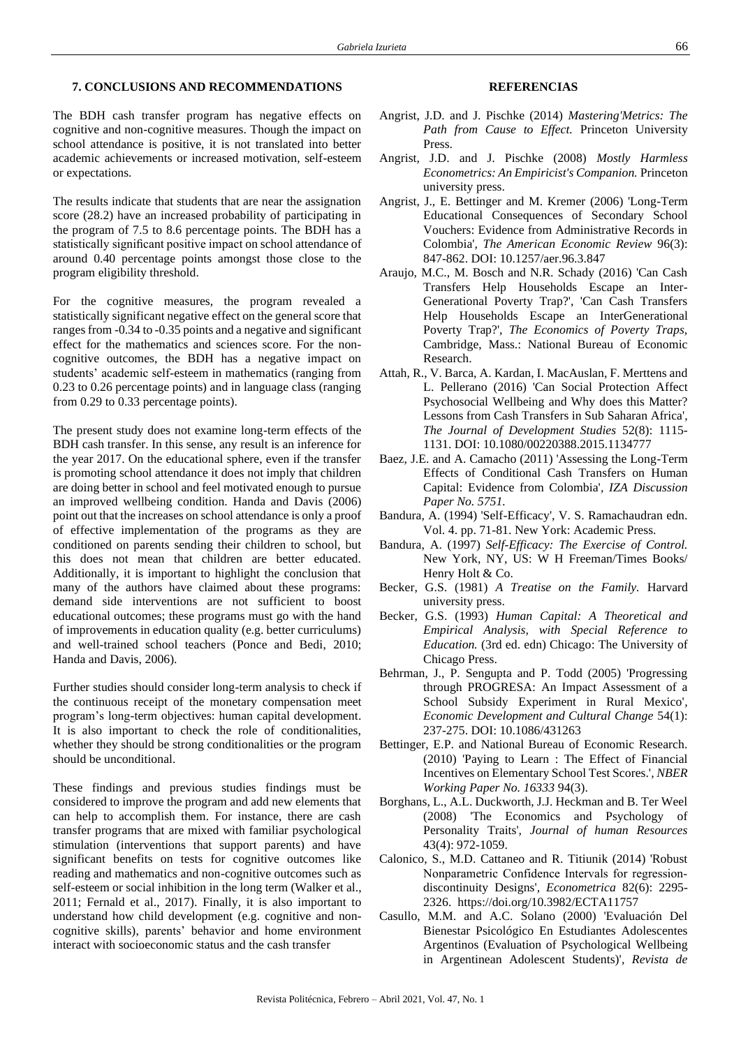## **7. CONCLUSIONS AND RECOMMENDATIONS**

The BDH cash transfer program has negative effects on cognitive and non-cognitive measures. Though the impact on school attendance is positive, it is not translated into better academic achievements or increased motivation, self-esteem or expectations.

The results indicate that students that are near the assignation score (28.2) have an increased probability of participating in the program of 7.5 to 8.6 percentage points. The BDH has a statistically significant positive impact on school attendance of around 0.40 percentage points amongst those close to the program eligibility threshold.

For the cognitive measures, the program revealed a statistically significant negative effect on the general score that ranges from -0.34 to -0.35 points and a negative and significant effect for the mathematics and sciences score. For the noncognitive outcomes, the BDH has a negative impact on students' academic self-esteem in mathematics (ranging from 0.23 to 0.26 percentage points) and in language class (ranging from 0.29 to 0.33 percentage points).

The present study does not examine long-term effects of the BDH cash transfer. In this sense, any result is an inference for the year 2017. On the educational sphere, even if the transfer is promoting school attendance it does not imply that children are doing better in school and feel motivated enough to pursue an improved wellbeing condition. Handa and Davis (2006) point out that the increases on school attendance is only a proof of effective implementation of the programs as they are conditioned on parents sending their children to school, but this does not mean that children are better educated. Additionally, it is important to highlight the conclusion that many of the authors have claimed about these programs: demand side interventions are not sufficient to boost educational outcomes; these programs must go with the hand of improvements in education quality (e.g. better curriculums) and well-trained school teachers (Ponce and Bedi, 2010; Handa and Davis, 2006).

Further studies should consider long-term analysis to check if the continuous receipt of the monetary compensation meet program's long-term objectives: human capital development. It is also important to check the role of conditionalities, whether they should be strong conditionalities or the program should be unconditional.

These findings and previous studies findings must be considered to improve the program and add new elements that can help to accomplish them. For instance, there are cash transfer programs that are mixed with familiar psychological stimulation (interventions that support parents) and have significant benefits on tests for cognitive outcomes like reading and mathematics and non-cognitive outcomes such as self-esteem or social inhibition in the long term (Walker et al., 2011; Fernald et al., 2017). Finally, it is also important to understand how child development (e.g. cognitive and noncognitive skills), parents' behavior and home environment interact with socioeconomic status and the cash transfer

## **REFERENCIAS**

- Angrist, J.D. and J. Pischke (2014) *Mastering'Metrics: The Path from Cause to Effect.* Princeton University Press.
- Angrist, J.D. and J. Pischke (2008) *Mostly Harmless Econometrics: An Empiricist's Companion.* Princeton university press.
- Angrist, J., E. Bettinger and M. Kremer (2006) 'Long-Term Educational Consequences of Secondary School Vouchers: Evidence from Administrative Records in Colombia'*, The American Economic Review* 96(3): 847-862. DOI: 10.1257/aer.96.3.847
- Araujo, M.C., M. Bosch and N.R. Schady (2016) 'Can Cash Transfers Help Households Escape an Inter-Generational Poverty Trap?', 'Can Cash Transfers Help Households Escape an InterGenerational Poverty Trap?', *The Economics of Poverty Traps,*  Cambridge, Mass.: National Bureau of Economic Research.
- Attah, R., V. Barca, A. Kardan, I. MacAuslan, F. Merttens and L. Pellerano (2016) 'Can Social Protection Affect Psychosocial Wellbeing and Why does this Matter? Lessons from Cash Transfers in Sub Saharan Africa'*, The Journal of Development Studies* 52(8): 1115- 1131. DOI: 10.1080/00220388.2015.1134777
- Baez, J.E. and A. Camacho (2011) 'Assessing the Long-Term Effects of Conditional Cash Transfers on Human Capital: Evidence from Colombia'*, IZA Discussion Paper No. 5751.*
- Bandura, A. (1994) 'Self-Efficacy', V. S. Ramachaudran edn. Vol. 4. pp. 71-81. New York: Academic Press.
- Bandura, A. (1997) *Self-Efficacy: The Exercise of Control.*  New York, NY, US: W H Freeman/Times Books/ Henry Holt & Co.
- Becker, G.S. (1981) *A Treatise on the Family.* Harvard university press.
- Becker, G.S. (1993) *Human Capital: A Theoretical and Empirical Analysis, with Special Reference to Education.* (3rd ed. edn) Chicago: The University of Chicago Press.
- Behrman, J., P. Sengupta and P. Todd (2005) 'Progressing through PROGRESA: An Impact Assessment of a School Subsidy Experiment in Rural Mexico'*, Economic Development and Cultural Change* 54(1): 237-275. DOI: 10.1086/431263
- Bettinger, E.P. and National Bureau of Economic Research. (2010) 'Paying to Learn : The Effect of Financial Incentives on Elementary School Test Scores.'*, NBER Working Paper No. 16333* 94(3).
- Borghans, L., A.L. Duckworth, J.J. Heckman and B. Ter Weel (2008) 'The Economics and Psychology of Personality Traits'*, Journal of human Resources*  43(4): 972-1059.
- Calonico, S., M.D. Cattaneo and R. Titiunik (2014) 'Robust Nonparametric Confidence Intervals for regression‐ discontinuity Designs'*, Econometrica* 82(6): 2295- 2326. https://doi.org/10.3982/ECTA11757
- Casullo, M.M. and A.C. Solano (2000) 'Evaluación Del Bienestar Psicológico En Estudiantes Adolescentes Argentinos (Evaluation of Psychological Wellbeing in Argentinean Adolescent Students)'*, Revista de*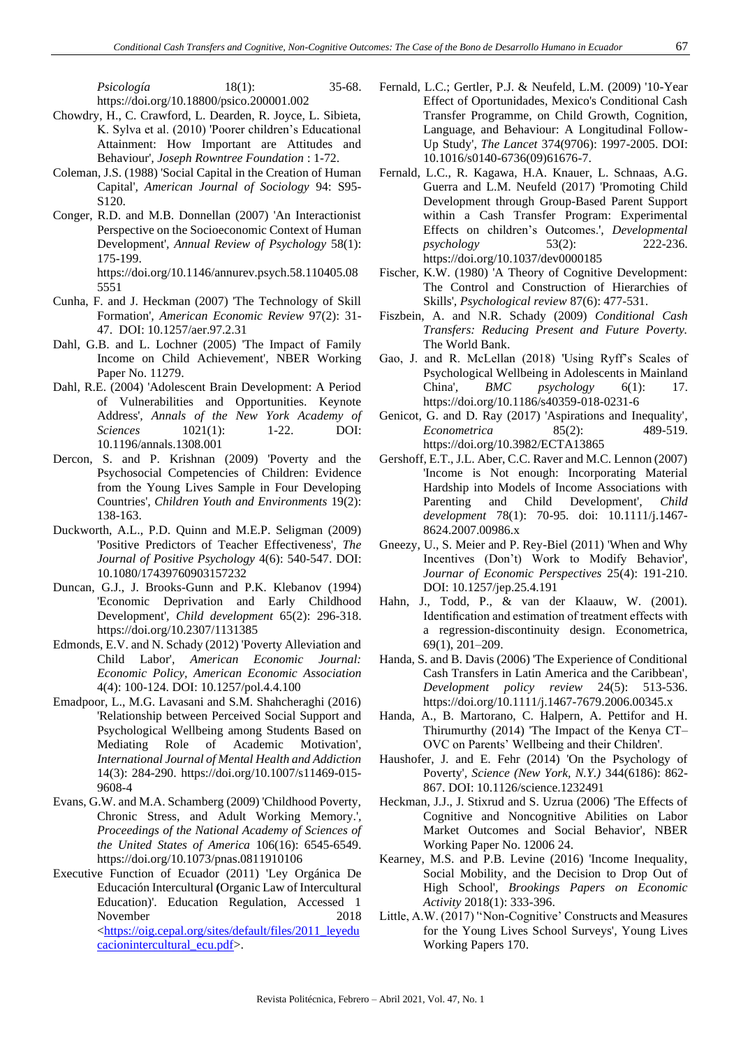*Psicología* 18(1): 35-68. https://doi.org/10.18800/psico.200001.002

- Chowdry, H., C. Crawford, L. Dearden, R. Joyce, L. Sibieta, K. Sylva et al. (2010) 'Poorer children's Educational Attainment: How Important are Attitudes and Behaviour'*, Joseph Rowntree Foundation* : 1-72.
- Coleman, J.S. (1988) 'Social Capital in the Creation of Human Capital'*, American Journal of Sociology* 94: S95- S120.
- Conger, R.D. and M.B. Donnellan (2007) 'An Interactionist Perspective on the Socioeconomic Context of Human Development'*, Annual Review of Psychology* 58(1): 175-199. https://doi.org/10.1146/annurev.psych.58.110405.08
- 5551 Cunha, F. and J. Heckman (2007) 'The Technology of Skill Formation'*, American Economic Review* 97(2): 31- 47. DOI: 10.1257/aer.97.2.31
- Dahl, G.B. and L. Lochner (2005) 'The Impact of Family Income on Child Achievement'*,* NBER Working Paper No. 11279.
- Dahl, R.E. (2004) 'Adolescent Brain Development: A Period of Vulnerabilities and Opportunities. Keynote Address'*, Annals of the New York Academy of Sciences* 1021(1): 1-22. DOI: 10.1196/annals.1308.001
- Dercon, S. and P. Krishnan (2009) 'Poverty and the Psychosocial Competencies of Children: Evidence from the Young Lives Sample in Four Developing Countries'*, Children Youth and Environments* 19(2): 138-163.
- Duckworth, A.L., P.D. Quinn and M.E.P. Seligman (2009) 'Positive Predictors of Teacher Effectiveness'*, The Journal of Positive Psychology* 4(6): 540-547. DOI: 10.1080/17439760903157232
- Duncan, G.J., J. Brooks-Gunn and P.K. Klebanov (1994) 'Economic Deprivation and Early Childhood Development'*, Child development* 65(2): 296-318. https://doi.org/10.2307/1131385
- Edmonds, E.V. and N. Schady (2012) 'Poverty Alleviation and Child Labor'*, American Economic Journal: Economic Policy, American Economic Association*  4(4): 100-124. DOI: 10.1257/pol.4.4.100
- Emadpoor, L., M.G. Lavasani and S.M. Shahcheraghi (2016) 'Relationship between Perceived Social Support and Psychological Wellbeing among Students Based on Mediating Role of Academic Motivation'*, International Journal of Mental Health and Addiction*  14(3): 284-290. https://doi.org/10.1007/s11469-015- 9608-4
- Evans, G.W. and M.A. Schamberg (2009) 'Childhood Poverty, Chronic Stress, and Adult Working Memory.'*, Proceedings of the National Academy of Sciences of the United States of America* 106(16): 6545-6549. https://doi.org/10.1073/pnas.0811910106
- Executive Function of Ecuador (2011) 'Ley Orgánica De Educación Intercultural **(**Organic Law of Intercultural Education)'. Education Regulation, Accessed 1 November 2018 [<https://oig.cepal.org/sites/default/files/2011\\_leyedu](https://oig.cepal.org/sites/default/files/2011_leyeducacionintercultural_ecu.pdf) [cacionintercultural\\_ecu.pdf>](https://oig.cepal.org/sites/default/files/2011_leyeducacionintercultural_ecu.pdf).
- Fernald, L.C.; Gertler, P.J. & Neufeld, L.M. (2009) '10-Year Effect of Oportunidades, Mexico's Conditional Cash Transfer Programme, on Child Growth, Cognition, Language, and Behaviour: A Longitudinal Follow-Up Study'*, The Lancet* 374(9706): 1997-2005. DOI: 10.1016/s0140-6736(09)61676-7.
- Fernald, L.C., R. Kagawa, H.A. Knauer, L. Schnaas, A.G. Guerra and L.M. Neufeld (2017) 'Promoting Child Development through Group-Based Parent Support within a Cash Transfer Program: Experimental Effects on children's Outcomes.'*, Developmental psychology* 53(2): 222-236. https://doi.org/10.1037/dev0000185
- Fischer, K.W. (1980) 'A Theory of Cognitive Development: The Control and Construction of Hierarchies of Skills'*, Psychological review* 87(6): 477-531.
- Fiszbein, A. and N.R. Schady (2009) *Conditional Cash Transfers: Reducing Present and Future Poverty.*  The World Bank.
- Gao, J. and R. McLellan (2018) 'Using Ryff's Scales of Psychological Wellbeing in Adolescents in Mainland China'*, BMC psychology* 6(1): 17. https://doi.org/10.1186/s40359-018-0231-6
- Genicot, G. and D. Ray (2017) 'Aspirations and Inequality'*, Econometrica* 85(2): 489-519. https://doi.org/10.3982/ECTA13865
- Gershoff, E.T., J.L. Aber, C.C. Raver and M.C. Lennon (2007) 'Income is Not enough: Incorporating Material Hardship into Models of Income Associations with Parenting and Child Development'*, Child development* 78(1): 70-95. doi: 10.1111/j.1467- 8624.2007.00986.x
- Gneezy, U., S. Meier and P. Rey-Biel (2011) 'When and Why Incentives (Don't) Work to Modify Behavior'*, Journar of Economic Perspectives* 25(4): 191-210. DOI: 10.1257/jep.25.4.191
- Hahn, J., Todd, P., & van der Klaauw, W. (2001). Identification and estimation of treatment effects with a regression-discontinuity design. Econometrica, 69(1), 201–209.
- Handa, S. and B. Davis (2006) 'The Experience of Conditional Cash Transfers in Latin America and the Caribbean'*, Development policy review* 24(5): 513-536. https://doi.org/10.1111/j.1467-7679.2006.00345.x
- Handa, A., B. Martorano, C. Halpern, A. Pettifor and H. Thirumurthy (2014) 'The Impact of the Kenya CT– OVC on Parents' Wellbeing and their Children'.
- Haushofer, J. and E. Fehr (2014) 'On the Psychology of Poverty'*, Science (New York, N.Y.)* 344(6186): 862- 867. DOI: 10.1126/science.1232491
- Heckman, J.J., J. Stixrud and S. Uzrua (2006) 'The Effects of Cognitive and Noncognitive Abilities on Labor Market Outcomes and Social Behavior', NBER Working Paper No. 12006 24.
- Kearney, M.S. and P.B. Levine (2016) 'Income Inequality, Social Mobility, and the Decision to Drop Out of High School'*, Brookings Papers on Economic Activity* 2018(1): 333-396.
- Little, A.W. (2017) ''Non-Cognitive' Constructs and Measures for the Young Lives School Surveys'*,* Young Lives Working Papers 170.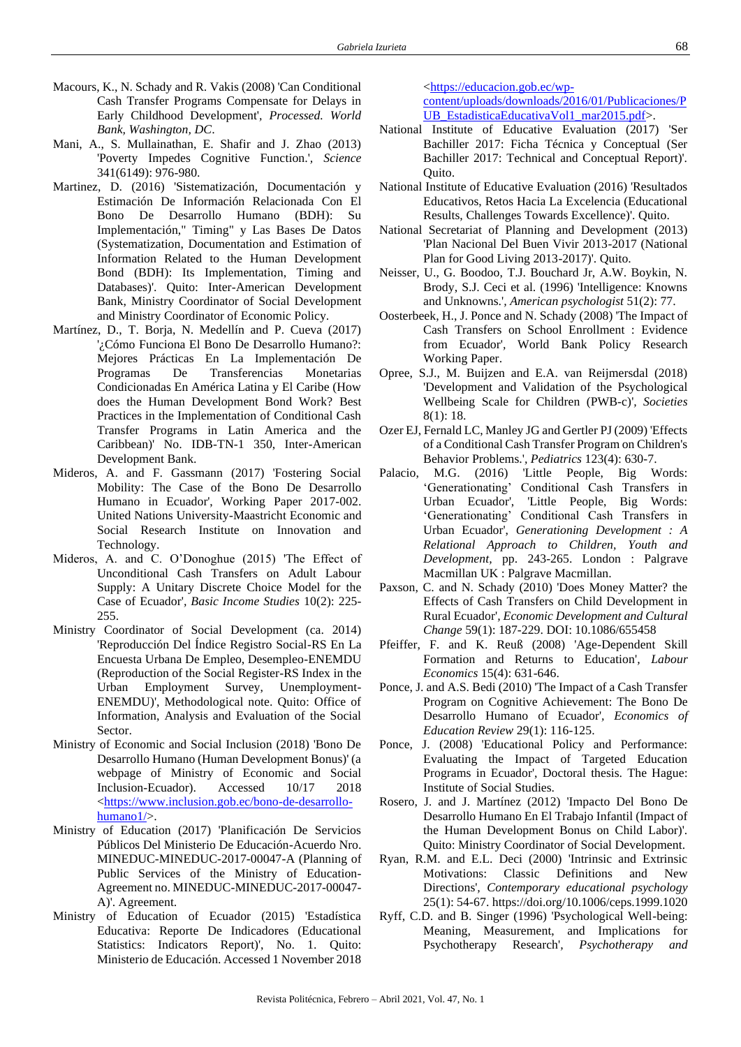- Macours, K., N. Schady and R. Vakis (2008) 'Can Conditional Cash Transfer Programs Compensate for Delays in Early Childhood Development'*, Processed. World Bank, Washington, DC*.
- Mani, A., S. Mullainathan, E. Shafir and J. Zhao (2013) 'Poverty Impedes Cognitive Function.'*, Science*  341(6149): 976-980.
- Martinez, D. (2016) 'Sistematización, Documentación y Estimación De Información Relacionada Con El Bono De Desarrollo Humano (BDH): Su Implementación," Timing" y Las Bases De Datos (Systematization, Documentation and Estimation of Information Related to the Human Development Bond (BDH): Its Implementation, Timing and Databases)'. Quito: Inter-American Development Bank, Ministry Coordinator of Social Development and Ministry Coordinator of Economic Policy.
- Martínez, D., T. Borja, N. Medellín and P. Cueva (2017) '¿Cómo Funciona El Bono De Desarrollo Humano?: Mejores Prácticas En La Implementación De Programas De Transferencias Monetarias Condicionadas En América Latina y El Caribe (How does the Human Development Bond Work? Best Practices in the Implementation of Conditional Cash Transfer Programs in Latin America and the Caribbean)' No. IDB-TN-1 350, Inter-American Development Bank.
- Mideros, A. and F. Gassmann (2017) 'Fostering Social Mobility: The Case of the Bono De Desarrollo Humano in Ecuador', Working Paper 2017-002. United Nations University-Maastricht Economic and Social Research Institute on Innovation and Technology.
- Mideros, A. and C. O'Donoghue (2015) 'The Effect of Unconditional Cash Transfers on Adult Labour Supply: A Unitary Discrete Choice Model for the Case of Ecuador'*, Basic Income Studies* 10(2): 225- 255.
- Ministry Coordinator of Social Development (ca. 2014) 'Reproducción Del Índice Registro Social-RS En La Encuesta Urbana De Empleo, Desempleo-ENEMDU (Reproduction of the Social Register-RS Index in the Urban Employment Survey, Unemployment-ENEMDU)', Methodological note. Quito: Office of Information, Analysis and Evaluation of the Social **Sector**.
- Ministry of Economic and Social Inclusion (2018) 'Bono De Desarrollo Humano (Human Development Bonus)' (a webpage of Ministry of Economic and Social Inclusion-Ecuador). Accessed 10/17 2018 [<https://www.inclusion.gob.ec/bono-de-desarrollo](https://www.inclusion.gob.ec/bono-de-desarrollo-humano1/)[humano1/>](https://www.inclusion.gob.ec/bono-de-desarrollo-humano1/).
- Ministry of Education (2017) 'Planificación De Servicios Públicos Del Ministerio De Educación-Acuerdo Nro. MINEDUC-MINEDUC-2017-00047-A (Planning of Public Services of the Ministry of Education-Agreement no. MINEDUC-MINEDUC-2017-00047- A)'. Agreement.
- Ministry of Education of Ecuador (2015) 'Estadística Educativa: Reporte De Indicadores (Educational Statistics: Indicators Report)', No. 1. Quito: Ministerio de Educación. Accessed 1 November 2018

[<https://educacion.gob.ec/wp-](https://educacion.gob.ec/wp-content/uploads/downloads/2016/01/Publicaciones/PUB_EstadisticaEducativaVol1_mar2015.pdf)

[content/uploads/downloads/2016/01/Publicaciones/P](https://educacion.gob.ec/wp-content/uploads/downloads/2016/01/Publicaciones/PUB_EstadisticaEducativaVol1_mar2015.pdf) [UB\\_EstadisticaEducativaVol1\\_mar2015.pdf>](https://educacion.gob.ec/wp-content/uploads/downloads/2016/01/Publicaciones/PUB_EstadisticaEducativaVol1_mar2015.pdf).

- National Institute of Educative Evaluation (2017) 'Ser Bachiller 2017: Ficha Técnica y Conceptual (Ser Bachiller 2017: Technical and Conceptual Report)'. Quito.
- National Institute of Educative Evaluation (2016) 'Resultados Educativos, Retos Hacia La Excelencia (Educational Results, Challenges Towards Excellence)'. Quito.
- National Secretariat of Planning and Development (2013) 'Plan Nacional Del Buen Vivir 2013-2017 (National Plan for Good Living 2013-2017)'. Quito.
- Neisser, U., G. Boodoo, T.J. Bouchard Jr, A.W. Boykin, N. Brody, S.J. Ceci et al. (1996) 'Intelligence: Knowns and Unknowns.'*, American psychologist* 51(2): 77.
- Oosterbeek, H., J. Ponce and N. Schady (2008) 'The Impact of Cash Transfers on School Enrollment : Evidence from Ecuador'*,* World Bank Policy Research Working Paper.
- Opree, S.J., M. Buijzen and E.A. van Reijmersdal (2018) 'Development and Validation of the Psychological Wellbeing Scale for Children (PWB-c)'*, Societies*  8(1): 18.
- Ozer EJ, Fernald LC, Manley JG and Gertler PJ (2009) 'Effects of a Conditional Cash Transfer Program on Children's Behavior Problems.'*, Pediatrics* 123(4): 630-7.
- Palacio, M.G. (2016) 'Little People, Big Words: 'Generationating' Conditional Cash Transfers in Urban Ecuador', 'Little People, Big Words: 'Generationating' Conditional Cash Transfers in Urban Ecuador', *Generationing Development : A Relational Approach to Children, Youth and Development,* pp. 243-265. London : Palgrave Macmillan UK : Palgrave Macmillan.
- Paxson, C. and N. Schady (2010) 'Does Money Matter? the Effects of Cash Transfers on Child Development in Rural Ecuador'*, Economic Development and Cultural Change* 59(1): 187-229. DOI: 10.1086/655458
- Pfeiffer, F. and K. Reuß (2008) 'Age-Dependent Skill Formation and Returns to Education'*, Labour Economics* 15(4): 631-646.
- Ponce, J. and A.S. Bedi (2010) 'The Impact of a Cash Transfer Program on Cognitive Achievement: The Bono De Desarrollo Humano of Ecuador'*, Economics of Education Review* 29(1): 116-125.
- Ponce, J. (2008) 'Educational Policy and Performance: Evaluating the Impact of Targeted Education Programs in Ecuador', Doctoral thesis. The Hague: Institute of Social Studies.
- Rosero, J. and J. Martínez (2012) 'Impacto Del Bono De Desarrollo Humano En El Trabajo Infantil (Impact of the Human Development Bonus on Child Labor)'. Quito: Ministry Coordinator of Social Development.
- Ryan, R.M. and E.L. Deci (2000) 'Intrinsic and Extrinsic Motivations: Classic Definitions and New Directions'*, Contemporary educational psychology*  25(1): 54-67. https://doi.org/10.1006/ceps.1999.1020
- Ryff, C.D. and B. Singer (1996) 'Psychological Well-being: Meaning, Measurement, and Implications for Psychotherapy Research'*, Psychotherapy and*